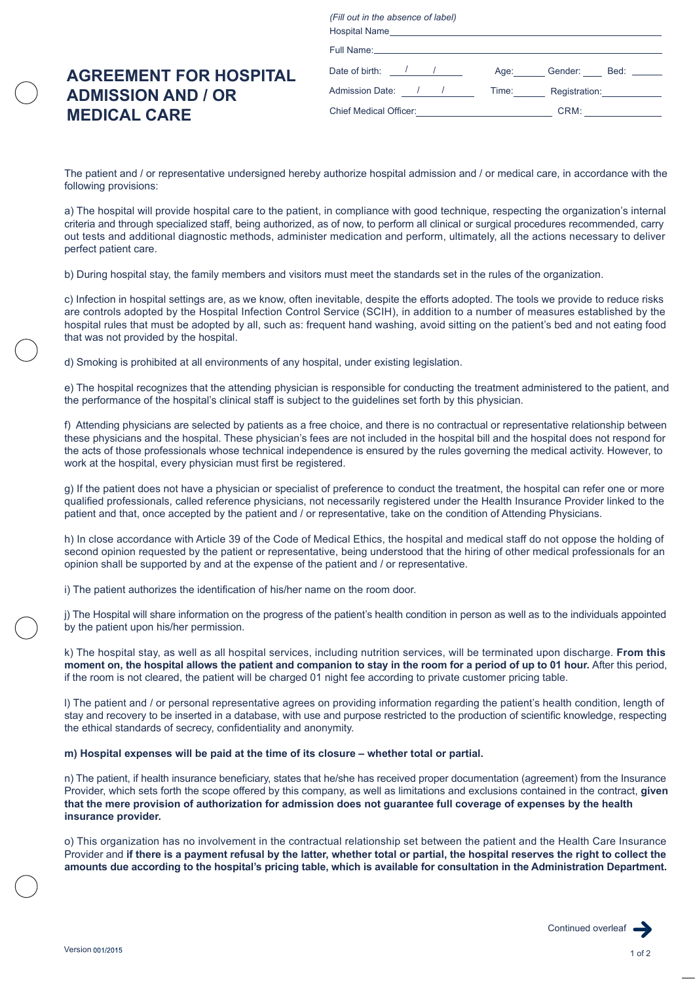*(Fill out in the absence of label)* Full Name: Chief Medical Officer: CRM: CRM: / / / / Age: Gender: Bed: Hospital Name Admission Date: <u>/ / / Time: Registration:</u> Date of birth: /

## **AGREEMENT FOR HOSPITAL ADMISSION AND / OR MEDICAL CARE**

The patient and / or representative undersigned hereby authorize hospital admission and / or medical care, in accordance with the following provisions:

a) The hospital will provide hospital care to the patient, in compliance with good technique, respecting the organization's internal criteria and through specialized staff, being authorized, as of now, to perform all clinical or surgical procedures recommended, carry out tests and additional diagnostic methods, administer medication and perform, ultimately, all the actions necessary to deliver perfect patient care.

b) During hospital stay, the family members and visitors must meet the standards set in the rules of the organization.

c) Infection in hospital settings are, as we know, often inevitable, despite the efforts adopted. The tools we provide to reduce risks are controls adopted by the Hospital Infection Control Service (SCIH), in addition to a number of measures established by the hospital rules that must be adopted by all, such as: frequent hand washing, avoid sitting on the patient's bed and not eating food that was not provided by the hospital.

d) Smoking is prohibited at all environments of any hospital, under existing legislation.

e) The hospital recognizes that the attending physician is responsible for conducting the treatment administered to the patient, and the performance of the hospital's clinical staff is subject to the guidelines set forth by this physician.

f) Attending physicians are selected by patients as a free choice, and there is no contractual or representative relationship between these physicians and the hospital. These physician's fees are not included in the hospital bill and the hospital does not respond for the acts of those professionals whose technical independence is ensured by the rules governing the medical activity. However, to work at the hospital, every physician must first be registered.

g) If the patient does not have a physician or specialist of preference to conduct the treatment, the hospital can refer one or more qualified professionals, called reference physicians, not necessarily registered under the Health Insurance Provider linked to the patient and that, once accepted by the patient and / or representative, take on the condition of Attending Physicians.

h) In close accordance with Article 39 of the Code of Medical Ethics, the hospital and medical staff do not oppose the holding of second opinion requested by the patient or representative, being understood that the hiring of other medical professionals for an opinion shall be supported by and at the expense of the patient and / or representative.

i) The patient authorizes the identification of his/her name on the room door.

j) The Hospital will share information on the progress of the patient's health condition in person as well as to the individuals appointed by the patient upon his/her permission.

k) The hospital stay, as well as all hospital services, including nutrition services, will be terminated upon discharge. **From this moment on, the hospital allows the patient and companion to stay in the room for a period of up to 01 hour.** After this period, if the room is not cleared, the patient will be charged 01 night fee according to private customer pricing table.

l) The patient and / or personal representative agrees on providing information regarding the patient's health condition, length of stay and recovery to be inserted in a database, with use and purpose restricted to the production of scientific knowledge, respecting the ethical standards of secrecy, confidentiality and anonymity.

**m) Hospital expenses will be paid at the time of its closure – whether total or partial.**

n) The patient, if health insurance beneficiary, states that he/she has received proper documentation (agreement) from the Insurance Provider, which sets forth the scope offered by this company, as well as limitations and exclusions contained in the contract, **given that the mere provision of authorization for admission does not guarantee full coverage of expenses by the health insurance provider.**

o) This organization has no involvement in the contractual relationship set between the patient and the Health Care Insurance Provider and **if there is a payment refusal by the latter, whether total or partial, the hospital reserves the right to collect the amounts due according to the hospital's pricing table, which is available for consultation in the Administration Department.**